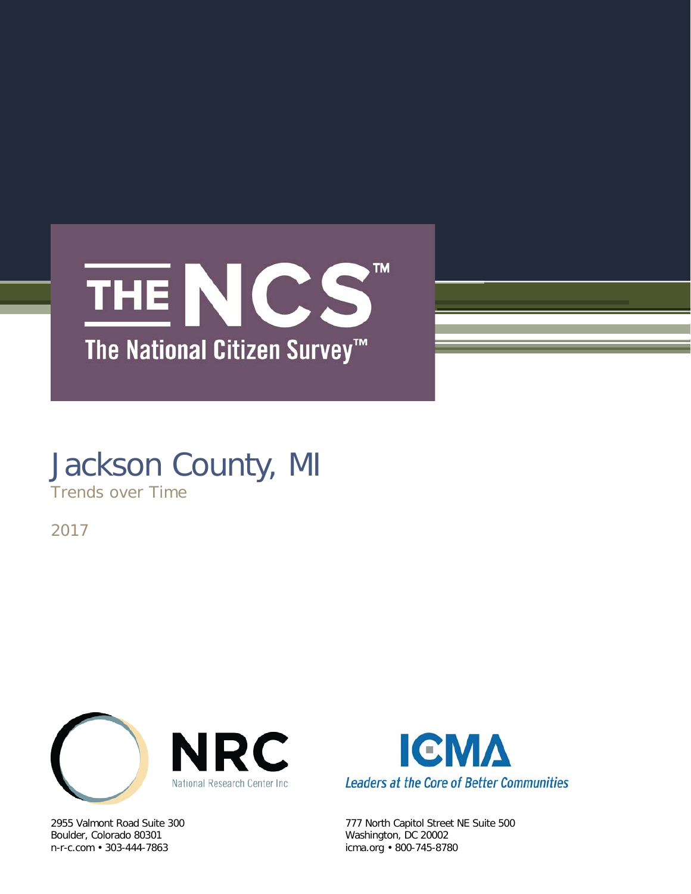

# Jackson County, MI

Trends over Time

2017



Boulder, Colorado 80301 Washington, DC 20002<br>
n-r-c.com • 303-444-7863 (icma.org • 800-745-878



2955 Valmont Road Suite 300 777 North Capitol Street NE Suite 500 icma.org • 800-745-8780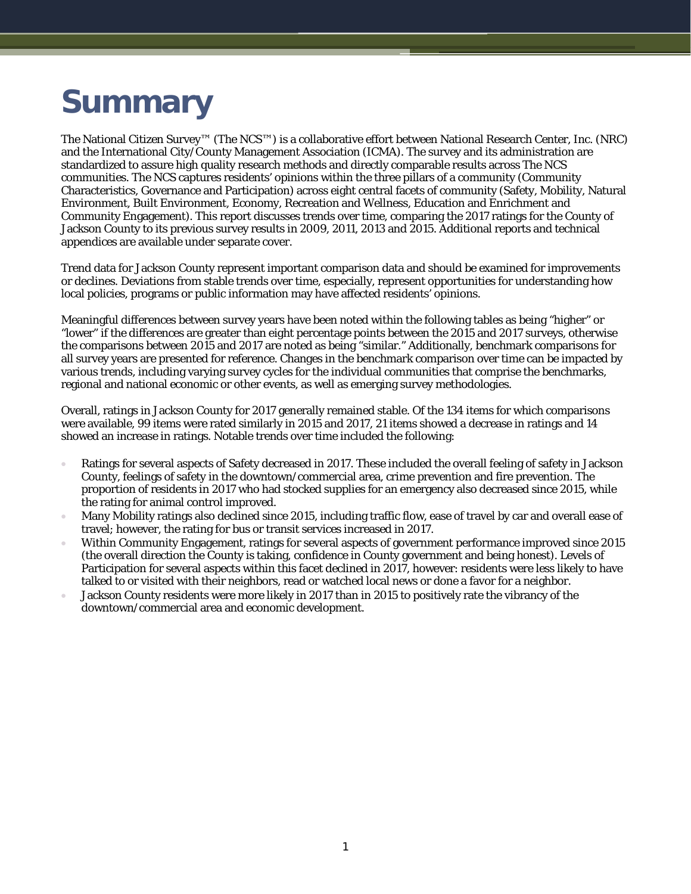# **Summary**

The National Citizen Survey™ (The NCS™) is a collaborative effort between National Research Center, Inc. (NRC) and the International City/County Management Association (ICMA). The survey and its administration are standardized to assure high quality research methods and directly comparable results across The NCS communities. The NCS captures residents' opinions within the three pillars of a community (Community Characteristics, Governance and Participation) across eight central facets of community (Safety, Mobility, Natural Environment, Built Environment, Economy, Recreation and Wellness, Education and Enrichment and Community Engagement). This report discusses trends over time, comparing the 2017 ratings for the County of Jackson County to its previous survey results in 2009, 2011, 2013 and 2015. Additional reports and technical appendices are available under separate cover.

Trend data for Jackson County represent important comparison data and should be examined for improvements or declines. Deviations from stable trends over time, especially, represent opportunities for understanding how local policies, programs or public information may have affected residents' opinions.

Meaningful differences between survey years have been noted within the following tables as being "higher" or "lower" if the differences are greater than eight percentage points between the 2015 and 2017 surveys, otherwise the comparisons between 2015 and 2017 are noted as being "similar." Additionally, benchmark comparisons for all survey years are presented for reference. Changes in the benchmark comparison over time can be impacted by various trends, including varying survey cycles for the individual communities that comprise the benchmarks, regional and national economic or other events, as well as emerging survey methodologies.

Overall, ratings in Jackson County for 2017 generally remained stable. Of the 134 items for which comparisons were available, 99 items were rated similarly in 2015 and 2017, 21 items showed a decrease in ratings and 14 showed an increase in ratings. Notable trends over time included the following:

- Ratings for several aspects of Safety decreased in 2017. These included the overall feeling of safety in Jackson County, feelings of safety in the downtown/commercial area, crime prevention and fire prevention. The proportion of residents in 2017 who had stocked supplies for an emergency also decreased since 2015, while the rating for animal control improved.
- Many Mobility ratings also declined since 2015, including traffic flow, ease of travel by car and overall ease of travel; however, the rating for bus or transit services increased in 2017.
- Within Community Engagement, ratings for several aspects of government performance improved since 2015 (the overall direction the County is taking, confidence in County government and being honest). Levels of Participation for several aspects within this facet declined in 2017, however: residents were less likely to have talked to or visited with their neighbors, read or watched local news or done a favor for a neighbor.
- Jackson County residents were more likely in 2017 than in 2015 to positively rate the vibrancy of the downtown/commercial area and economic development.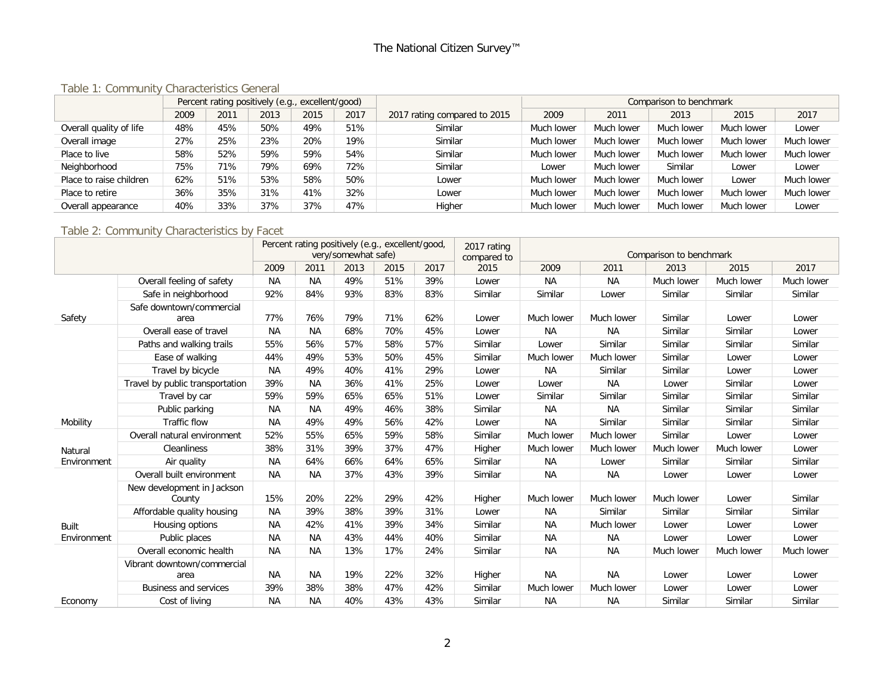#### Table 1: Community Characteristics General

|                         |      |      | Percent rating positively (e.g., excellent/good) |      |      |                              | Comparison to benchmark |            |            |            |            |
|-------------------------|------|------|--------------------------------------------------|------|------|------------------------------|-------------------------|------------|------------|------------|------------|
|                         | 2009 | 2011 | 2013                                             | 2015 | 2017 | 2017 rating compared to 2015 | 2009                    | 2011       | 2013       | 2015       | 2017       |
| Overall quality of life | 48%  | 45%  | 50%                                              | 49%  | 51%  | Similar                      | Much lower              | Much lower | Much lower | Much lower | Lower      |
| Overall image           | 27%  | 25%  | 23%                                              | 20%  | 19%  | Similar                      | Much lower              | Much lower | Much lower | Much lower | Much lower |
| Place to live           | 58%  | 52%  | 59%                                              | 59%  | 54%  | Similar                      | Much lower              | Much lower | Much lower | Much lower | Much lower |
| Neighborhood            | 75%  | 71%  | 79%                                              | 69%  | 72%  | Similar                      | Lower                   | Much lower | Similar    | Lower      | Lower      |
| Place to raise children | 62%  | 51%  | 53%                                              | 58%  | 50%  | Lower                        | Much lower              | Much lower | Much lower | Lower      | Much lower |
| Place to retire         | 36%  | 35%  | 31%                                              | 41%  | 32%  | Lower                        | Much lower              | Much lower | Much lower | Much lower | Much lower |
| Overall appearance      | 40%  | 33%  | 37%                                              | 37%  | 47%  | Higher                       | Much lower              | Much lower | Much lower | Much lower | Lower      |

#### Table 2: Community Characteristics by Facet

|             |                                      | Percent rating positively (e.g., excellent/good)<br>very/somewhat safe) |           |      |      |      | 2017 rating<br>compared to |            | Comparison to benchmark |            |            |            |  |
|-------------|--------------------------------------|-------------------------------------------------------------------------|-----------|------|------|------|----------------------------|------------|-------------------------|------------|------------|------------|--|
|             |                                      | 2009                                                                    | 2011      | 2013 | 2015 | 2017 | 2015                       | 2009       | 2011                    | 2013       | 2015       | 2017       |  |
|             | Overall feeling of safety            | <b>NA</b>                                                               | <b>NA</b> | 49%  | 51%  | 39%  | Lower                      | <b>NA</b>  | <b>NA</b>               | Much lower | Much lower | Much lower |  |
|             | Safe in neighborhood                 | 92%                                                                     | 84%       | 93%  | 83%  | 83%  | Similar                    | Similar    | Lower                   | Similar    | Similar    | Similar    |  |
| Safety      | Safe downtown/commercial<br>area     | 77%                                                                     | 76%       | 79%  | 71%  | 62%  | Lower                      | Much lower | Much lower              | Similar    | Lower      | Lower      |  |
|             | Overall ease of travel               | <b>NA</b>                                                               | <b>NA</b> | 68%  | 70%  | 45%  | Lower                      | <b>NA</b>  | <b>NA</b>               | Similar    | Similar    | Lower      |  |
|             | Paths and walking trails             | 55%                                                                     | 56%       | 57%  | 58%  | 57%  | Similar                    | Lower      | Similar                 | Similar    | Similar    | Similar    |  |
|             | Ease of walking                      | 44%                                                                     | 49%       | 53%  | 50%  | 45%  | Similar                    | Much lower | Much lower              | Similar    | Lower      | Lower      |  |
|             | Travel by bicycle                    | NA                                                                      | 49%       | 40%  | 41%  | 29%  | Lower                      | <b>NA</b>  | Similar                 | Similar    | Lower      | Lower      |  |
|             | Travel by public transportation      | 39%                                                                     | <b>NA</b> | 36%  | 41%  | 25%  | Lower                      | Lower      | <b>NA</b>               | Lower      | Similar    | Lower      |  |
|             | Travel by car                        | 59%                                                                     | 59%       | 65%  | 65%  | 51%  | Lower                      | Similar    | Similar                 | Similar    | Similar    | Similar    |  |
|             | Public parking                       | <b>NA</b>                                                               | <b>NA</b> | 49%  | 46%  | 38%  | Similar                    | <b>NA</b>  | <b>NA</b>               | Similar    | Similar    | Similar    |  |
| Mobility    | Traffic flow                         | <b>NA</b>                                                               | 49%       | 49%  | 56%  | 42%  | Lower                      | <b>NA</b>  | Similar                 | Similar    | Similar    | Similar    |  |
|             | Overall natural environment          | 52%                                                                     | 55%       | 65%  | 59%  | 58%  | Similar                    | Much lower | Much lower              | Similar    | Lower      | Lower      |  |
| Natural     | Cleanliness                          | 38%                                                                     | 31%       | 39%  | 37%  | 47%  | Higher                     | Much lower | Much lower              | Much lower | Much lower | Lower      |  |
| Environment | Air quality                          | <b>NA</b>                                                               | 64%       | 66%  | 64%  | 65%  | Similar                    | <b>NA</b>  | Lower                   | Similar    | Similar    | Similar    |  |
|             | Overall built environment            | <b>NA</b>                                                               | <b>NA</b> | 37%  | 43%  | 39%  | Similar                    | <b>NA</b>  | <b>NA</b>               | Lower      | Lower      | Lower      |  |
|             | New development in Jackson<br>County | 15%                                                                     | 20%       | 22%  | 29%  | 42%  | Higher                     | Much lower | Much lower              | Much lower | Lower      | Similar    |  |
|             | Affordable quality housing           | NА                                                                      | 39%       | 38%  | 39%  | 31%  | Lower                      | ΝA         | Similar                 | Similar    | Similar    | Similar    |  |
| Built       | Housing options                      | <b>NA</b>                                                               | 42%       | 41%  | 39%  | 34%  | Similar                    | <b>NA</b>  | Much lower              | Lower      | Lower      | Lower      |  |
| Environment | Public places                        | NA                                                                      | <b>NA</b> | 43%  | 44%  | 40%  | Similar                    | <b>NA</b>  | <b>NA</b>               | Lower      | Lower      | Lower      |  |
|             | Overall economic health              | <b>NA</b>                                                               | <b>NA</b> | 13%  | 17%  | 24%  | Similar                    | <b>NA</b>  | <b>NA</b>               | Much lower | Much lower | Much lower |  |
|             | Vibrant downtown/commercial<br>area  | <b>NA</b>                                                               | <b>NA</b> | 19%  | 22%  | 32%  | Higher                     | <b>NA</b>  | ΝA                      | Lower      | Lower      | Lower      |  |
|             | <b>Business and services</b>         | 39%                                                                     | 38%       | 38%  | 47%  | 42%  | Similar                    | Much lower | Much lower              | Lower      | Lower      | Lower      |  |
| Economy     | Cost of living                       | <b>NA</b>                                                               | <b>NA</b> | 40%  | 43%  | 43%  | Similar                    | <b>NA</b>  | <b>NA</b>               | Similar    | Similar    | Similar    |  |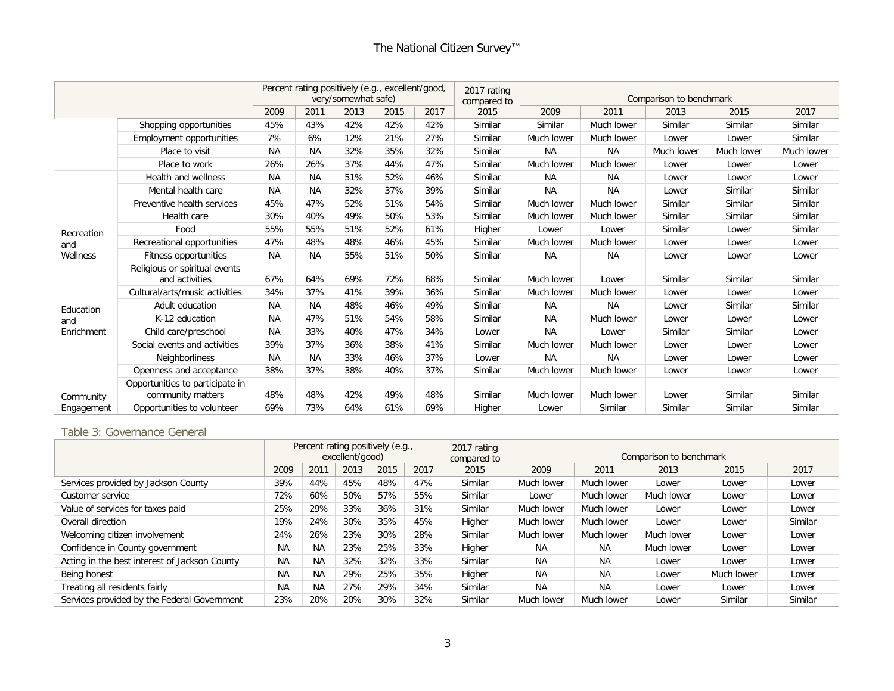|            |                                                      |           |           | very/somewhat safe) | Percent rating positively (e.g., excellent/good, |      | 2017 rating<br>compared to |            |            |            |            |            |
|------------|------------------------------------------------------|-----------|-----------|---------------------|--------------------------------------------------|------|----------------------------|------------|------------|------------|------------|------------|
|            |                                                      | 2009      | 2011      | 2013                | 2015                                             | 2017 | 2015                       | 2009       | 2011       | 2013       | 2015       | 2017       |
|            | Shopping opportunities                               | 45%       | 43%       | 42%                 | 42%                                              | 42%  | Similar                    | Similar    | Much lower | Similar    | Similar    | Similar    |
|            | Employment opportunities                             | 7%        | 6%        | 12%                 | 21%                                              | 27%  | Similar                    | Much lower | Much lower | Lower      | Lower      | Similar    |
|            | Place to visit                                       | <b>NA</b> | <b>NA</b> | 32%                 | 35%                                              | 32%  | Similar                    | <b>NA</b>  | <b>NA</b>  | Much lower | Much lower | Much lower |
|            | Place to work                                        | 26%       | 26%       | 37%                 | 44%                                              | 47%  | Similar                    | Much lower | Much lower | Lower      | Lower      | Lower      |
|            | Health and wellness                                  | <b>NA</b> | <b>NA</b> | 51%                 | 52%                                              | 46%  | Similar                    | <b>NA</b>  | <b>NA</b>  | Lower      | Lower      | Lower      |
|            | Mental health care                                   | <b>NA</b> | <b>NA</b> | 32%                 | 37%                                              | 39%  | Similar                    | <b>NA</b>  | <b>NA</b>  | Lower      | Similar    | Similar    |
|            | Preventive health services                           | 45%       | 47%       | 52%                 | 51%                                              | 54%  | Similar                    | Much lower | Much lower | Similar    | Similar    | Similar    |
|            | Health care                                          | 30%       | 40%       | 49%                 | 50%                                              | 53%  | Similar                    | Much lower | Much lower | Similar    | Similar    | Similar    |
| Recreation | Food                                                 | 55%       | 55%       | 51%                 | 52%                                              | 61%  | Higher                     | Lower      | Lower      | Similar    | Lower      | Similar    |
| and        | Recreational opportunities                           | 47%       | 48%       | 48%                 | 46%                                              | 45%  | Similar                    | Much lower | Much lower | Lower      | Lower      | Lower      |
| Wellness   | Fitness opportunities                                | <b>NA</b> | <b>NA</b> | 55%                 | 51%                                              | 50%  | Similar                    | <b>NA</b>  | <b>NA</b>  | Lower      | Lower      | Lower      |
|            | Religious or spiritual events<br>and activities      | 67%       | 64%       | 69%                 | 72%                                              | 68%  | Similar                    | Much lower | Lower      | Similar    | Similar    | Similar    |
|            | Cultural/arts/music activities                       | 34%       | 37%       | 41%                 | 39%                                              | 36%  | Similar                    | Much lower | Much lower | Lower      | Lower      | Lower      |
| Education  | Adult education                                      | <b>NA</b> | <b>NA</b> | 48%                 | 46%                                              | 49%  | Similar                    | <b>NA</b>  | <b>NA</b>  | Lower      | Similar    | Similar    |
| and        | K-12 education                                       | <b>NA</b> | 47%       | 51%                 | 54%                                              | 58%  | Similar                    | <b>NA</b>  | Much lower | Lower      | Lower      | Lower      |
| Enrichment | Child care/preschool                                 | <b>NA</b> | 33%       | 40%                 | 47%                                              | 34%  | Lower                      | <b>NA</b>  | Lower      | Similar    | Similar    | Lower      |
|            | Social events and activities                         | 39%       | 37%       | 36%                 | 38%                                              | 41%  | Similar                    | Much lower | Much lower | Lower      | Lower      | Lower      |
|            | Neighborliness                                       | <b>NA</b> | <b>NA</b> | 33%                 | 46%                                              | 37%  | Lower                      | <b>NA</b>  | <b>NA</b>  | Lower      | Lower      | Lower      |
|            | Openness and acceptance                              | 38%       | 37%       | 38%                 | 40%                                              | 37%  | Similar                    | Much lower | Much lower | Lower      | Lower      | Lower      |
| Community  | Opportunities to participate in<br>community matters | 48%       | 48%       | 42%                 | 49%                                              | 48%  | Similar                    | Much lower | Much lower | Lower      | Similar    | Similar    |
| Engagement | Opportunities to volunteer                           | 69%       | 73%       | 64%                 | 61%                                              | 69%  | Higher                     | Lower      | Similar    | Similar    | Similar    | Similar    |

Table 3: Governance General

|                                               | Percent rating positively (e.g.,<br>excellent/good) |           |      |      |      | 2017 rating<br>compared to | Comparison to benchmark |            |            |            |         |  |  |
|-----------------------------------------------|-----------------------------------------------------|-----------|------|------|------|----------------------------|-------------------------|------------|------------|------------|---------|--|--|
|                                               | 2009                                                | 2011      | 2013 | 2015 | 2017 | 2015                       | 2009                    | 2011       | 2013       | 2015       | 2017    |  |  |
| Services provided by Jackson County           | 39%                                                 | 44%       | 45%  | 48%  | 47%  | Similar                    | Much lower              | Much lower | Lower      | Lower      | Lower   |  |  |
| Customer service                              | 72%                                                 | 60%       | 50%  | 57%  | 55%  | Similar                    | Lower                   | Much lower | Much lower | Lower      | Lower   |  |  |
| Value of services for taxes paid              | 25%                                                 | 29%       | 33%  | 36%  | 31%  | Similar                    | Much lower              | Much lower | Lower      | Lower      | Lower   |  |  |
| Overall direction                             | 19%                                                 | 24%       | 30%  | 35%  | 45%  | Higher                     | Much lower              | Much lower | Lower      | Lower      | Similar |  |  |
| Welcoming citizen involvement                 | 24%                                                 | 26%       | 23%  | 30%  | 28%  | Similar                    | Much lower              | Much lower | Much lower | Lower      | Lower   |  |  |
| Confidence in County government               | <b>NA</b>                                           | <b>NA</b> | 23%  | 25%  | 33%  | Higher                     | <b>NA</b>               | <b>NA</b>  | Much lower | Lower      | Lower   |  |  |
| Acting in the best interest of Jackson County | <b>NA</b>                                           | <b>NA</b> | 32%  | 32%  | 33%  | Similar                    | <b>NA</b>               | <b>NA</b>  | Lower      | Lower      | Lower   |  |  |
| Being honest                                  | <b>NA</b>                                           | <b>NA</b> | 29%  | 25%  | 35%  | Higher                     | <b>NA</b>               | <b>NA</b>  | Lower      | Much lower | Lower   |  |  |
| Treating all residents fairly                 | <b>NA</b>                                           | <b>NA</b> | 27%  | 29%  | 34%  | Similar                    | <b>NA</b>               | <b>NA</b>  | Lower      | Lower      | Lower   |  |  |
| Services provided by the Federal Government   | 23%                                                 | 20%       | 20%  | 30%  | 32%  | Similar                    | Much lower              | Much lower | Lower      | Similar    | Similar |  |  |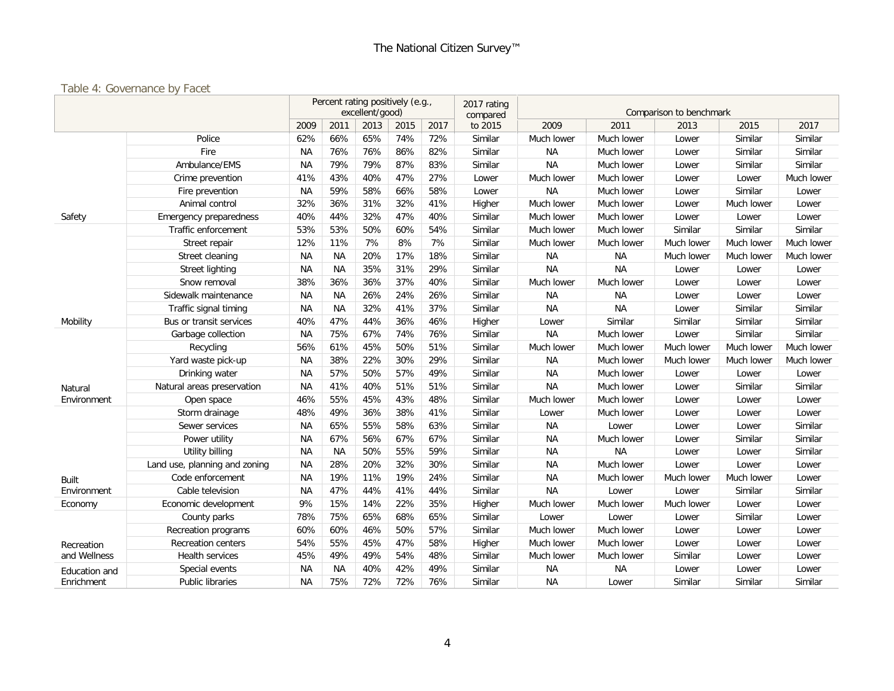#### Table 4: Governance by Facet

|               | Percent rating positively (e.g.,<br>excellent/good) |           |           |      |      | 2017 rating<br>compared | Comparison to benchmark |            |            |            |            |            |
|---------------|-----------------------------------------------------|-----------|-----------|------|------|-------------------------|-------------------------|------------|------------|------------|------------|------------|
|               |                                                     | 2009      | 2011      | 2013 | 2015 | 2017                    | to 2015                 | 2009       | 2011       | 2013       | 2015       | 2017       |
|               | Police                                              | 62%       | 66%       | 65%  | 74%  | 72%                     | Similar                 | Much lower | Much lower | Lower      | Similar    | Similar    |
|               | Fire                                                | <b>NA</b> | 76%       | 76%  | 86%  | 82%                     | Similar                 | <b>NA</b>  | Much lower | Lower      | Similar    | Similar    |
|               | Ambulance/EMS                                       | <b>NA</b> | 79%       | 79%  | 87%  | 83%                     | Similar                 | <b>NA</b>  | Much lower | Lower      | Similar    | Similar    |
|               | Crime prevention                                    | 41%       | 43%       | 40%  | 47%  | 27%                     | Lower                   | Much lower | Much lower | Lower      | Lower      | Much lower |
|               | Fire prevention                                     | NA        | 59%       | 58%  | 66%  | 58%                     | Lower                   | <b>NA</b>  | Much lower | Lower      | Similar    | Lower      |
|               | Animal control                                      | 32%       | 36%       | 31%  | 32%  | 41%                     | Higher                  | Much lower | Much lower | Lower      | Much lower | Lower      |
| Safety        | <b>Emergency preparedness</b>                       | 40%       | 44%       | 32%  | 47%  | 40%                     | Similar                 | Much lower | Much lower | Lower      | Lower      | Lower      |
|               | Traffic enforcement                                 | 53%       | 53%       | 50%  | 60%  | 54%                     | Similar                 | Much lower | Much lower | Similar    | Similar    | Similar    |
|               | Street repair                                       | 12%       | 11%       | 7%   | 8%   | 7%                      | Similar                 | Much lower | Much lower | Much lower | Much lower | Much lower |
|               | Street cleaning                                     | <b>NA</b> | <b>NA</b> | 20%  | 17%  | 18%                     | Similar                 | <b>NA</b>  | <b>NA</b>  | Much lower | Much lower | Much lower |
|               | <b>Street lighting</b>                              | <b>NA</b> | <b>NA</b> | 35%  | 31%  | 29%                     | Similar                 | <b>NA</b>  | <b>NA</b>  | Lower      | Lower      | Lower      |
|               | Snow removal                                        | 38%       | 36%       | 36%  | 37%  | 40%                     | Similar                 | Much lower | Much lower | Lower      | Lower      | Lower      |
|               | Sidewalk maintenance                                | <b>NA</b> | <b>NA</b> | 26%  | 24%  | 26%                     | Similar                 | <b>NA</b>  | <b>NA</b>  | Lower      | Lower      | Lower      |
|               | Traffic signal timing                               | <b>NA</b> | <b>NA</b> | 32%  | 41%  | 37%                     | Similar                 | <b>NA</b>  | <b>NA</b>  | Lower      | Similar    | Similar    |
| Mobility      | Bus or transit services                             | 40%       | 47%       | 44%  | 36%  | 46%                     | Higher                  | Lower      | Similar    | Similar    | Similar    | Similar    |
|               | Garbage collection                                  | <b>NA</b> | 75%       | 67%  | 74%  | 76%                     | Similar                 | <b>NA</b>  | Much lower | Lower      | Similar    | Similar    |
|               | Recycling                                           | 56%       | 61%       | 45%  | 50%  | 51%                     | Similar                 | Much lower | Much lower | Much lower | Much lower | Much lower |
|               | Yard waste pick-up                                  | ΝA        | 38%       | 22%  | 30%  | 29%                     | Similar                 | <b>NA</b>  | Much lower | Much lower | Much lower | Much lower |
|               | Drinking water                                      | ΝA        | 57%       | 50%  | 57%  | 49%                     | Similar                 | <b>NA</b>  | Much lower | Lower      | Lower      | Lower      |
| Natural       | Natural areas preservation                          | <b>NA</b> | 41%       | 40%  | 51%  | 51%                     | Similar                 | <b>NA</b>  | Much lower | Lower      | Similar    | Similar    |
| Environment   | Open space                                          | 46%       | 55%       | 45%  | 43%  | 48%                     | Similar                 | Much lower | Much lower | Lower      | Lower      | Lower      |
|               | Storm drainage                                      | 48%       | 49%       | 36%  | 38%  | 41%                     | Similar                 | Lower      | Much lower | Lower      | Lower      | Lower      |
|               | Sewer services                                      | <b>NA</b> | 65%       | 55%  | 58%  | 63%                     | Similar                 | <b>NA</b>  | Lower      | Lower      | Lower      | Similar    |
|               | Power utility                                       | <b>NA</b> | 67%       | 56%  | 67%  | 67%                     | Similar                 | <b>NA</b>  | Much lower | Lower      | Similar    | Similar    |
|               | Utility billing                                     | <b>NA</b> | <b>NA</b> | 50%  | 55%  | 59%                     | Similar                 | <b>NA</b>  | <b>NA</b>  | Lower      | Lower      | Similar    |
|               | Land use, planning and zoning                       | <b>NA</b> | 28%       | 20%  | 32%  | 30%                     | Similar                 | <b>NA</b>  | Much lower | Lower      | Lower      | Lower      |
| <b>Built</b>  | Code enforcement                                    | <b>NA</b> | 19%       | 11%  | 19%  | 24%                     | Similar                 | <b>NA</b>  | Much lower | Much lower | Much lower | Lower      |
| Environment   | Cable television                                    | <b>NA</b> | 47%       | 44%  | 41%  | 44%                     | Similar                 | <b>NA</b>  | Lower      | Lower      | Similar    | Similar    |
| Economy       | Economic development                                | 9%        | 15%       | 14%  | 22%  | 35%                     | Higher                  | Much lower | Much lower | Much lower | Lower      | Lower      |
|               | County parks                                        | 78%       | 75%       | 65%  | 68%  | 65%                     | Similar                 | Lower      | Lower      | Lower      | Similar    | Lower      |
|               | Recreation programs                                 | 60%       | 60%       | 46%  | 50%  | 57%                     | Similar                 | Much lower | Much lower | Lower      | Lower      | Lower      |
| Recreation    | <b>Recreation centers</b>                           | 54%       | 55%       | 45%  | 47%  | 58%                     | Higher                  | Much lower | Much lower | Lower      | Lower      | Lower      |
| and Wellness  | Health services                                     | 45%       | 49%       | 49%  | 54%  | 48%                     | Similar                 | Much lower | Much lower | Similar    | Lower      | Lower      |
| Education and | Special events                                      | <b>NA</b> | <b>NA</b> | 40%  | 42%  | 49%                     | Similar                 | <b>NA</b>  | <b>NA</b>  | Lower      | Lower      | Lower      |
| Enrichment    | Public libraries                                    | <b>NA</b> | 75%       | 72%  | 72%  | 76%                     | Similar                 | <b>NA</b>  | Lower      | Similar    | Similar    | Similar    |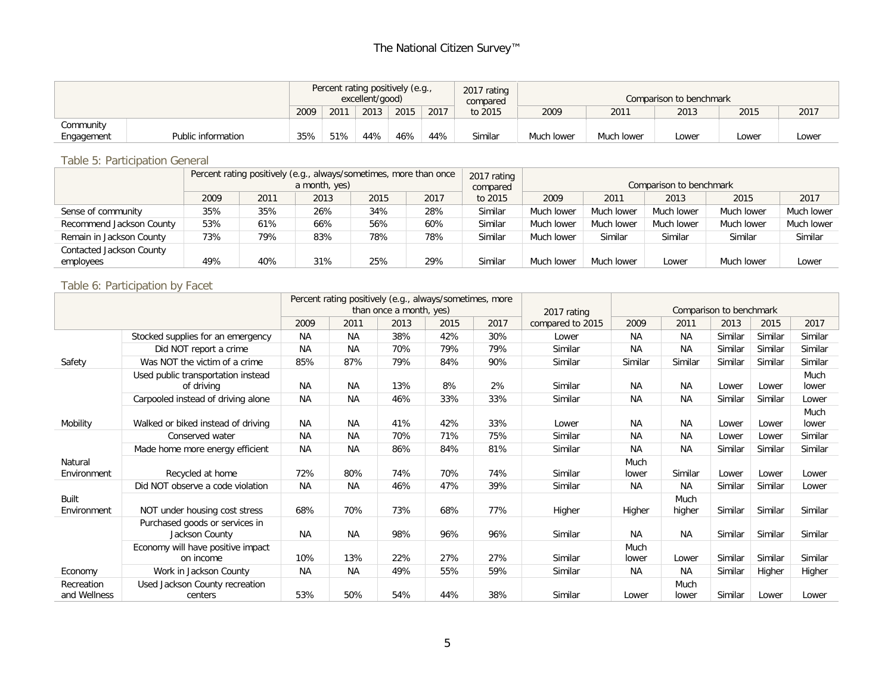|                                  |  |      | Percent rating positively (e.g.,<br>excellent/good) |      |      |      |         | Comparison to benchmark |            |       |       |       |  |
|----------------------------------|--|------|-----------------------------------------------------|------|------|------|---------|-------------------------|------------|-------|-------|-------|--|
|                                  |  | 2009 | 201'                                                | 2013 | 2015 | 2017 | to 2015 | 2009                    | 2011       | 2013  | 2015  | 2017  |  |
| Community                        |  |      |                                                     |      |      |      |         |                         |            |       |       |       |  |
| Public information<br>Engagement |  |      | 51%                                                 | 44%  | 46%  | 44%  | Similar | Much lower              | Much lower | Lower | Lower | Lower |  |

#### Table 5: Participation General

|                                      |     |     | Percent rating positively (e.g., always/sometimes, more than once<br>a month, yes) |     |     | 2017 rating<br>compared | Comparison to benchmark |            |            |            |            |  |  |
|--------------------------------------|-----|-----|------------------------------------------------------------------------------------|-----|-----|-------------------------|-------------------------|------------|------------|------------|------------|--|--|
| 2013<br>2009<br>2015<br>2017<br>2011 |     |     |                                                                                    |     |     | to 2015                 | 2009                    | 2011       | 2013       | 2015       | 2017       |  |  |
| Sense of community                   | 35% | 35% | 26%                                                                                | 34% | 28% | Similar                 | Much lower              | Much lower | Much lower | Much lower | Much lower |  |  |
| Recommend Jackson County             | 53% | 61% | 66%                                                                                | 56% | 60% | Similar                 | Much lower              | Much lower | Much lower | Much lower | Much lower |  |  |
| Remain in Jackson County             | 73% | 79% | 83%                                                                                | 78% | 78% | Similar                 | Much lower              | Similar    | Similar    | Similar    | Similar    |  |  |
| Contacted Jackson County             |     |     |                                                                                    |     |     |                         |                         |            |            |            |            |  |  |
| employees                            | 49% | 40% | 31%                                                                                | 25% | 29% | Similar                 | Much lower              | Much lower | Lower      | Much lower | Lower      |  |  |

#### Table 6: Participation by Facet

|                            |                                                  |           | Percent rating positively (e.g., always/sometimes, more | than once a month, yes) |      |      | 2017 rating      | Comparison to benchmark |                |         |         |               |  |
|----------------------------|--------------------------------------------------|-----------|---------------------------------------------------------|-------------------------|------|------|------------------|-------------------------|----------------|---------|---------|---------------|--|
|                            |                                                  | 2009      | 2011                                                    | 2013                    | 2015 | 2017 | compared to 2015 | 2009                    | 2011           | 2013    | 2015    | 2017          |  |
|                            | Stocked supplies for an emergency                | <b>NA</b> | <b>NA</b>                                               | 38%                     | 42%  | 30%  | Lower            | <b>NA</b>               | <b>NA</b>      | Similar | Similar | Similar       |  |
|                            | Did NOT report a crime                           | <b>NA</b> | <b>NA</b>                                               | 70%                     | 79%  | 79%  | Similar          | <b>NA</b>               | <b>NA</b>      | Similar | Similar | Similar       |  |
| Safety                     | Was NOT the victim of a crime                    | 85%       | 87%                                                     | 79%                     | 84%  | 90%  | Similar          | Similar                 | Similar        | Similar | Similar | Similar       |  |
|                            | Used public transportation instead<br>of driving | <b>NA</b> | <b>NA</b>                                               | 13%                     | 8%   | 2%   | Similar          | ΝA                      | NА             | Lower   | Lower   | Much<br>lower |  |
|                            | Carpooled instead of driving alone               | <b>NA</b> | <b>NA</b>                                               | 46%                     | 33%  | 33%  | Similar          | <b>NA</b>               | ΝA             | Similar | Similar | Lower         |  |
| Mobility                   | Walked or biked instead of driving               | <b>NA</b> | <b>NA</b>                                               | 41%                     | 42%  | 33%  | Lower            | <b>NA</b>               | <b>NA</b>      | Lower   | Lower   | Much<br>lower |  |
|                            | Conserved water                                  | <b>NA</b> | <b>NA</b>                                               | 70%                     | 71%  | 75%  | Similar          | <b>NA</b>               | <b>NA</b>      | Lower   | Lower   | Similar       |  |
|                            | Made home more energy efficient                  | <b>NA</b> | <b>NA</b>                                               | 86%                     | 84%  | 81%  | Similar          | <b>NA</b>               | <b>NA</b>      | Similar | Similar | Similar       |  |
| Natural<br>Environment     | Recycled at home                                 | 72%       | 80%                                                     | 74%                     | 70%  | 74%  | Similar          | Much<br>lower           | Similar        | Lower   | Lower   | Lower         |  |
|                            | Did NOT observe a code violation                 | <b>NA</b> | <b>NA</b>                                               | 46%                     | 47%  | 39%  | Similar          | <b>NA</b>               | NA.            | Similar | Similar | Lower         |  |
| Built<br>Environment       | NOT under housing cost stress                    | 68%       | 70%                                                     | 73%                     | 68%  | 77%  | Higher           | Higher                  | Much<br>higher | Similar | Similar | Similar       |  |
|                            | Purchased goods or services in<br>Jackson County | <b>NA</b> | <b>NA</b>                                               | 98%                     | 96%  | 96%  | Similar          | <b>NA</b>               | <b>NA</b>      | Similar | Similar | Similar       |  |
|                            | Economy will have positive impact<br>on income   | 10%       | 13%                                                     | 22%                     | 27%  | 27%  | Similar          | Much<br>lower           | Lower          | Similar | Similar | Similar       |  |
| Economy                    | Work in Jackson County                           | <b>NA</b> | <b>NA</b>                                               | 49%                     | 55%  | 59%  | Similar          | <b>NA</b>               | <b>NA</b>      | Similar | Higher  | Higher        |  |
| Recreation<br>and Wellness | Used Jackson County recreation<br>centers        | 53%       | 50%                                                     | 54%                     | 44%  | 38%  | Similar          | Lower                   | Much<br>lower  | Similar | Lower   | Lower         |  |